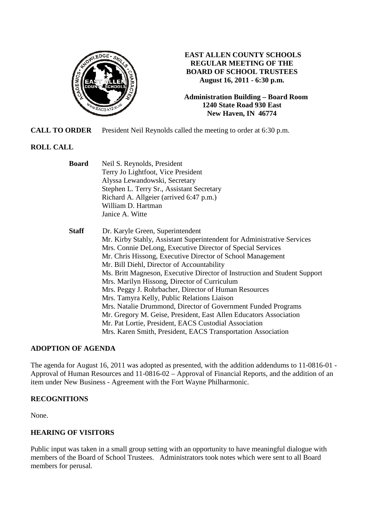

## **EAST ALLEN COUNTY SCHOOLS REGULAR MEETING OF THE BOARD OF SCHOOL TRUSTEES August 16, 2011 - 6:30 p.m.**

**Administration Building – Board Room 1240 State Road 930 East New Haven, IN 46774**

**CALL TO ORDER** President Neil Reynolds called the meeting to order at 6:30 p.m.

# **ROLL CALL**

| <b>Board</b> | Neil S. Reynolds, President                                               |
|--------------|---------------------------------------------------------------------------|
|              | Terry Jo Lightfoot, Vice President                                        |
|              | Alyssa Lewandowski, Secretary                                             |
|              | Stephen L. Terry Sr., Assistant Secretary                                 |
|              | Richard A. Allgeier (arrived 6:47 p.m.)                                   |
|              | William D. Hartman                                                        |
|              | Janice A. Witte                                                           |
| <b>Staff</b> | Dr. Karyle Green, Superintendent                                          |
|              | Mr. Kirby Stahly, Assistant Superintendent for Administrative Services    |
|              | Mrs. Connie DeLong, Executive Director of Special Services                |
|              | Mr. Chris Hissong, Executive Director of School Management                |
|              | Mr. Bill Diehl, Director of Accountability                                |
|              | Ms. Britt Magneson, Executive Director of Instruction and Student Support |
|              | Mrs. Marilyn Hissong, Director of Curriculum                              |
|              | Mrs. Peggy J. Rohrbacher, Director of Human Resources                     |
|              | Mrs. Tamyra Kelly, Public Relations Liaison                               |
|              | Mrs. Natalie Drummond, Director of Government Funded Programs             |
|              | Mr. Gregory M. Geise, President, East Allen Educators Association         |
|              | Mr. Pat Lortie, President, EACS Custodial Association                     |
|              | Mrs. Karen Smith, President, EACS Transportation Association              |

## **ADOPTION OF AGENDA**

The agenda for August 16, 2011 was adopted as presented, with the addition addendums to 11-0816-01 - Approval of Human Resources and 11-0816-02 – Approval of Financial Reports, and the addition of an item under New Business - Agreement with the Fort Wayne Philharmonic.

# **RECOGNITIONS**

None.

# **HEARING OF VISITORS**

Public input was taken in a small group setting with an opportunity to have meaningful dialogue with members of the Board of School Trustees. Administrators took notes which were sent to all Board members for perusal.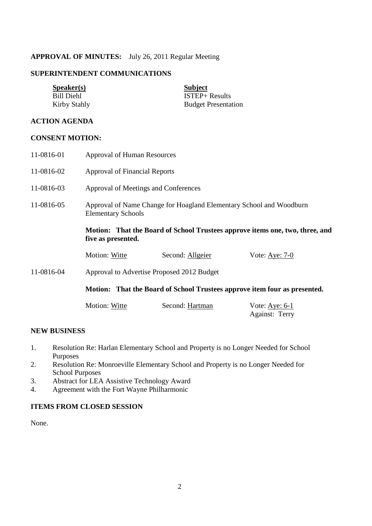## **APPROVAL OF MINUTES:** July 26, 2011 Regular Meeting

## **SUPERINTENDENT COMMUNICATIONS**

| <b>Speaker(s)</b> | <b>Subject</b>             |
|-------------------|----------------------------|
| <b>Bill Diehl</b> | $ISTEP+ Results$           |
| Kirby Stahly      | <b>Budget Presentation</b> |
|                   |                            |

# **ACTION AGENDA**

### **CONSENT MOTION:**

| 11-0816-01 | Approval of Human Resources                                                                        |                  |                                           |  |
|------------|----------------------------------------------------------------------------------------------------|------------------|-------------------------------------------|--|
| 11-0816-02 | <b>Approval of Financial Reports</b>                                                               |                  |                                           |  |
| 11-0816-03 | Approval of Meetings and Conferences                                                               |                  |                                           |  |
| 11-0816-05 | Approval of Name Change for Hoagland Elementary School and Woodburn<br><b>Elementary Schools</b>   |                  |                                           |  |
|            | Motion: That the Board of School Trustees approve items one, two, three, and<br>five as presented. |                  |                                           |  |
|            | Motion: Witte                                                                                      | Second: Allgeier | Vote: Aye: $7-0$                          |  |
| 11-0816-04 | Approval to Advertise Proposed 2012 Budget                                                         |                  |                                           |  |
|            | Motion: That the Board of School Trustees approve item four as presented.                          |                  |                                           |  |
|            | Motion: Witte                                                                                      | Second: Hartman  | Vote: $Aye: 6-1$<br><b>Against: Terry</b> |  |

## **NEW BUSINESS**

- 1. Resolution Re: Harlan Elementary School and Property is no Longer Needed for School Purposes
- 2. Resolution Re: Monroeville Elementary School and Property is no Longer Needed for School Purposes
- 3. Abstract for LEA Assistive Technology Award
- 4. Agreement with the Fort Wayne Philharmonic

# **ITEMS FROM CLOSED SESSION**

None.